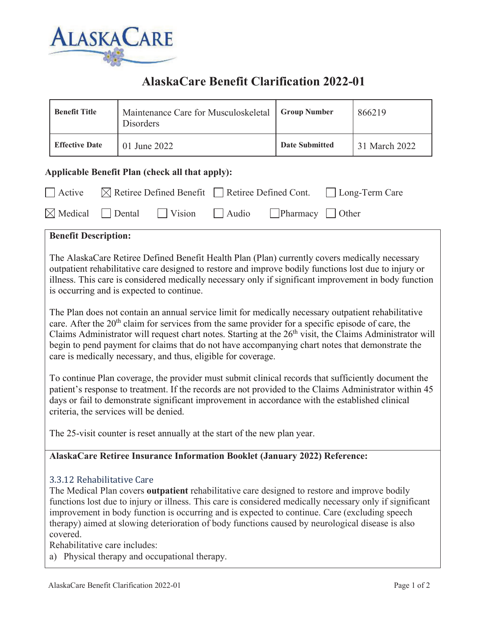

# **AlaskaCare Benefit Clarification 2022-01**

|                                                                                                                                                                                                                                                                                                                                                                                                                                                                                                         | <b>Benefit Title</b>                                                                                                                                                                                                                                                                                                                                                                                                                                                                                                                       | Maintenance Care for Musculoskeletal<br>Disorders | <b>Group Number</b>   | 866219        |  |  |
|---------------------------------------------------------------------------------------------------------------------------------------------------------------------------------------------------------------------------------------------------------------------------------------------------------------------------------------------------------------------------------------------------------------------------------------------------------------------------------------------------------|--------------------------------------------------------------------------------------------------------------------------------------------------------------------------------------------------------------------------------------------------------------------------------------------------------------------------------------------------------------------------------------------------------------------------------------------------------------------------------------------------------------------------------------------|---------------------------------------------------|-----------------------|---------------|--|--|
|                                                                                                                                                                                                                                                                                                                                                                                                                                                                                                         | <b>Effective Date</b>                                                                                                                                                                                                                                                                                                                                                                                                                                                                                                                      | 01 June 2022                                      | <b>Date Submitted</b> | 31 March 2022 |  |  |
| Applicable Benefit Plan (check all that apply):                                                                                                                                                                                                                                                                                                                                                                                                                                                         |                                                                                                                                                                                                                                                                                                                                                                                                                                                                                                                                            |                                                   |                       |               |  |  |
| Active<br>$\boxtimes$ Retiree Defined Benefit Retiree Defined Cont.<br>Long-Term Care                                                                                                                                                                                                                                                                                                                                                                                                                   |                                                                                                                                                                                                                                                                                                                                                                                                                                                                                                                                            |                                                   |                       |               |  |  |
| $\boxtimes$ Medical<br>Vision<br>Pharmacy<br>Dental<br>Audio<br>Other                                                                                                                                                                                                                                                                                                                                                                                                                                   |                                                                                                                                                                                                                                                                                                                                                                                                                                                                                                                                            |                                                   |                       |               |  |  |
| <b>Benefit Description:</b>                                                                                                                                                                                                                                                                                                                                                                                                                                                                             |                                                                                                                                                                                                                                                                                                                                                                                                                                                                                                                                            |                                                   |                       |               |  |  |
|                                                                                                                                                                                                                                                                                                                                                                                                                                                                                                         | The AlaskaCare Retiree Defined Benefit Health Plan (Plan) currently covers medically necessary<br>outpatient rehabilitative care designed to restore and improve bodily functions lost due to injury or<br>illness. This care is considered medically necessary only if significant improvement in body function<br>is occurring and is expected to continue.                                                                                                                                                                              |                                                   |                       |               |  |  |
| The Plan does not contain an annual service limit for medically necessary outpatient rehabilitative<br>care. After the $20th$ claim for services from the same provider for a specific episode of care, the<br>Claims Administrator will request chart notes. Starting at the 26 <sup>th</sup> visit, the Claims Administrator will<br>begin to pend payment for claims that do not have accompanying chart notes that demonstrate the<br>care is medically necessary, and thus, eligible for coverage. |                                                                                                                                                                                                                                                                                                                                                                                                                                                                                                                                            |                                                   |                       |               |  |  |
| To continue Plan coverage, the provider must submit clinical records that sufficiently document the<br>patient's response to treatment. If the records are not provided to the Claims Administrator within 45<br>days or fail to demonstrate significant improvement in accordance with the established clinical<br>criteria, the services will be denied.                                                                                                                                              |                                                                                                                                                                                                                                                                                                                                                                                                                                                                                                                                            |                                                   |                       |               |  |  |
|                                                                                                                                                                                                                                                                                                                                                                                                                                                                                                         | The 25-visit counter is reset annually at the start of the new plan year.                                                                                                                                                                                                                                                                                                                                                                                                                                                                  |                                                   |                       |               |  |  |
| AlaskaCare Retiree Insurance Information Booklet (January 2022) Reference:                                                                                                                                                                                                                                                                                                                                                                                                                              |                                                                                                                                                                                                                                                                                                                                                                                                                                                                                                                                            |                                                   |                       |               |  |  |
|                                                                                                                                                                                                                                                                                                                                                                                                                                                                                                         | 3.3.12 Rehabilitative Care<br>The Medical Plan covers outpatient rehabilitative care designed to restore and improve bodily<br>functions lost due to injury or illness. This care is considered medically necessary only if significant<br>improvement in body function is occurring and is expected to continue. Care (excluding speech<br>therapy) aimed at slowing deterioration of body functions caused by neurological disease is also<br>covered.<br>Rehabilitative care includes:<br>a) Physical therapy and occupational therapy. |                                                   |                       |               |  |  |